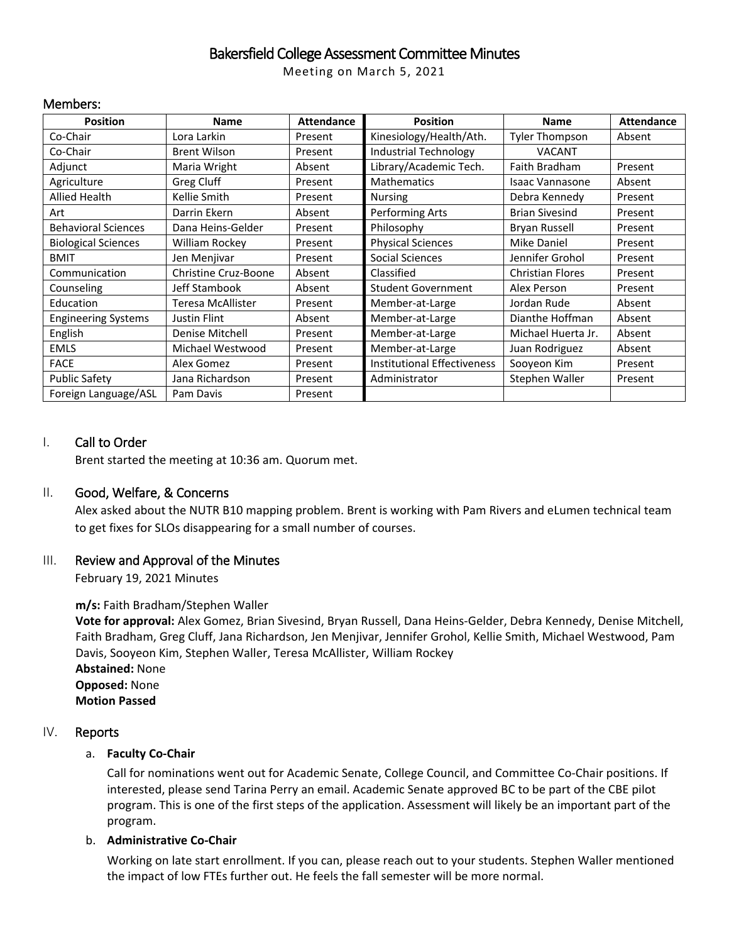## Bakersfield College Assessment Committee Minutes

Meeting on March 5, 2021

#### Members:

| <b>Position</b>            | Name                 | <b>Attendance</b> | <b>Position</b>                    | <b>Name</b>             | <b>Attendance</b> |
|----------------------------|----------------------|-------------------|------------------------------------|-------------------------|-------------------|
| Co-Chair                   | Lora Larkin          | Present           | Kinesiology/Health/Ath.            | <b>Tyler Thompson</b>   | Absent            |
| Co-Chair                   | <b>Brent Wilson</b>  | Present           | <b>Industrial Technology</b>       | <b>VACANT</b>           |                   |
| Adjunct                    | Maria Wright         | Absent            | Library/Academic Tech.             | Faith Bradham           | Present           |
| Agriculture                | Greg Cluff           | Present           | <b>Mathematics</b>                 | Isaac Vannasone         | Absent            |
| <b>Allied Health</b>       | Kellie Smith         | Present           | <b>Nursing</b>                     | Debra Kennedy           | Present           |
| Art                        | Darrin Ekern         | Absent            | Performing Arts                    | <b>Brian Sivesind</b>   | Present           |
| <b>Behavioral Sciences</b> | Dana Heins-Gelder    | Present           | Philosophy                         | Bryan Russell           | Present           |
| <b>Biological Sciences</b> | William Rockey       | Present           | <b>Physical Sciences</b>           | <b>Mike Daniel</b>      | Present           |
| <b>BMIT</b>                | Jen Menjivar         | Present           | Social Sciences                    | Jennifer Grohol         | Present           |
| Communication              | Christine Cruz-Boone | Absent            | Classified                         | <b>Christian Flores</b> | Present           |
| Counseling                 | Jeff Stambook        | Absent            | <b>Student Government</b>          | Alex Person             | Present           |
| Education                  | Teresa McAllister    | Present           | Member-at-Large                    | Jordan Rude             | Absent            |
| <b>Engineering Systems</b> | Justin Flint         | Absent            | Member-at-Large                    | Dianthe Hoffman         | Absent            |
| English                    | Denise Mitchell      | Present           | Member-at-Large                    | Michael Huerta Jr.      | Absent            |
| <b>EMLS</b>                | Michael Westwood     | Present           | Member-at-Large                    | Juan Rodriguez          | Absent            |
| <b>FACE</b>                | Alex Gomez           | Present           | <b>Institutional Effectiveness</b> | Sooyeon Kim             | Present           |
| <b>Public Safety</b>       | Jana Richardson      | Present           | Administrator                      | Stephen Waller          | Present           |
| Foreign Language/ASL       | Pam Davis            | Present           |                                    |                         |                   |

#### I. Call to Order

Brent started the meeting at 10:36 am. Quorum met.

#### II. Good, Welfare, & Concerns

Alex asked about the NUTR B10 mapping problem. Brent is working with Pam Rivers and eLumen technical team to get fixes for SLOs disappearing for a small number of courses.

#### III. Review and Approval of the Minutes

February 19, 2021 Minutes

#### **m/s:** Faith Bradham/Stephen Waller

**Vote for approval:** Alex Gomez, Brian Sivesind, Bryan Russell, Dana Heins-Gelder, Debra Kennedy, Denise Mitchell, Faith Bradham, Greg Cluff, Jana Richardson, Jen Menjivar, Jennifer Grohol, Kellie Smith, Michael Westwood, Pam Davis, Sooyeon Kim, Stephen Waller, Teresa McAllister, William Rockey **Abstained:** None **Opposed:** None **Motion Passed**

#### IV. Reports

#### a. **Faculty Co-Chair**

Call for nominations went out for Academic Senate, College Council, and Committee Co-Chair positions. If interested, please send Tarina Perry an email. Academic Senate approved BC to be part of the CBE pilot program. This is one of the first steps of the application. Assessment will likely be an important part of the program.

#### b. **Administrative Co-Chair**

Working on late start enrollment. If you can, please reach out to your students. Stephen Waller mentioned the impact of low FTEs further out. He feels the fall semester will be more normal.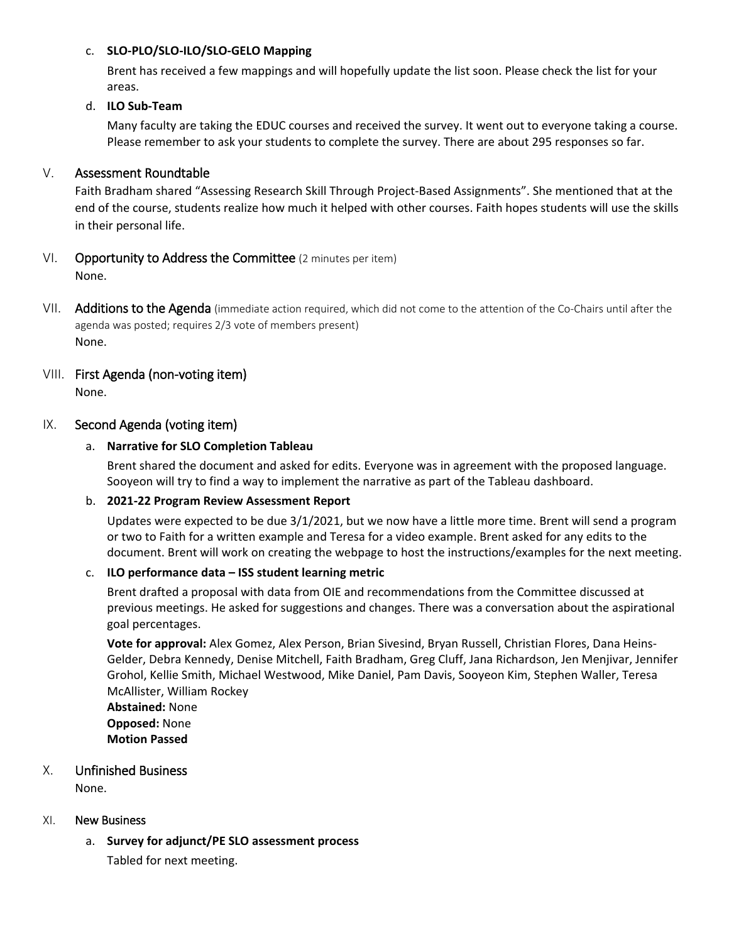#### c. **SLO-PLO/SLO-ILO/SLO-GELO Mapping**

Brent has received a few mappings and will hopefully update the list soon. Please check the list for your areas.

## d. **ILO Sub-Team**

Many faculty are taking the EDUC courses and received the survey. It went out to everyone taking a course. Please remember to ask your students to complete the survey. There are about 295 responses so far.

## V. Assessment Roundtable

Faith Bradham shared "Assessing Research Skill Through Project-Based Assignments". She mentioned that at the end of the course, students realize how much it helped with other courses. Faith hopes students will use the skills in their personal life.

## VI. Opportunity to Address the Committee (2 minutes per item) None.

VII. Additions to the Agenda (immediate action required, which did not come to the attention of the Co-Chairs until after the agenda was posted; requires 2/3 vote of members present) None.

# VIII. First Agenda (non-voting item)

None.

## IX. Second Agenda (voting item)

## a. **Narrative for SLO Completion Tableau**

Brent shared the document and asked for edits. Everyone was in agreement with the proposed language. Sooyeon will try to find a way to implement the narrative as part of the Tableau dashboard.

## b. **2021-22 Program Review Assessment Report**

Updates were expected to be due 3/1/2021, but we now have a little more time. Brent will send a program or two to Faith for a written example and Teresa for a video example. Brent asked for any edits to the document. Brent will work on creating the webpage to host the instructions/examples for the next meeting.

## c. **ILO performance data – ISS student learning metric**

Brent drafted a proposal with data from OIE and recommendations from the Committee discussed at previous meetings. He asked for suggestions and changes. There was a conversation about the aspirational goal percentages.

**Vote for approval:** Alex Gomez, Alex Person, Brian Sivesind, Bryan Russell, Christian Flores, Dana Heins-Gelder, Debra Kennedy, Denise Mitchell, Faith Bradham, Greg Cluff, Jana Richardson, Jen Menjivar, Jennifer Grohol, Kellie Smith, Michael Westwood, Mike Daniel, Pam Davis, Sooyeon Kim, Stephen Waller, Teresa McAllister, William Rockey

**Abstained:** None **Opposed:** None **Motion Passed**

## X. Unfinished Business

None.

## XI. New Business

a. **Survey for adjunct/PE SLO assessment process**

Tabled for next meeting.